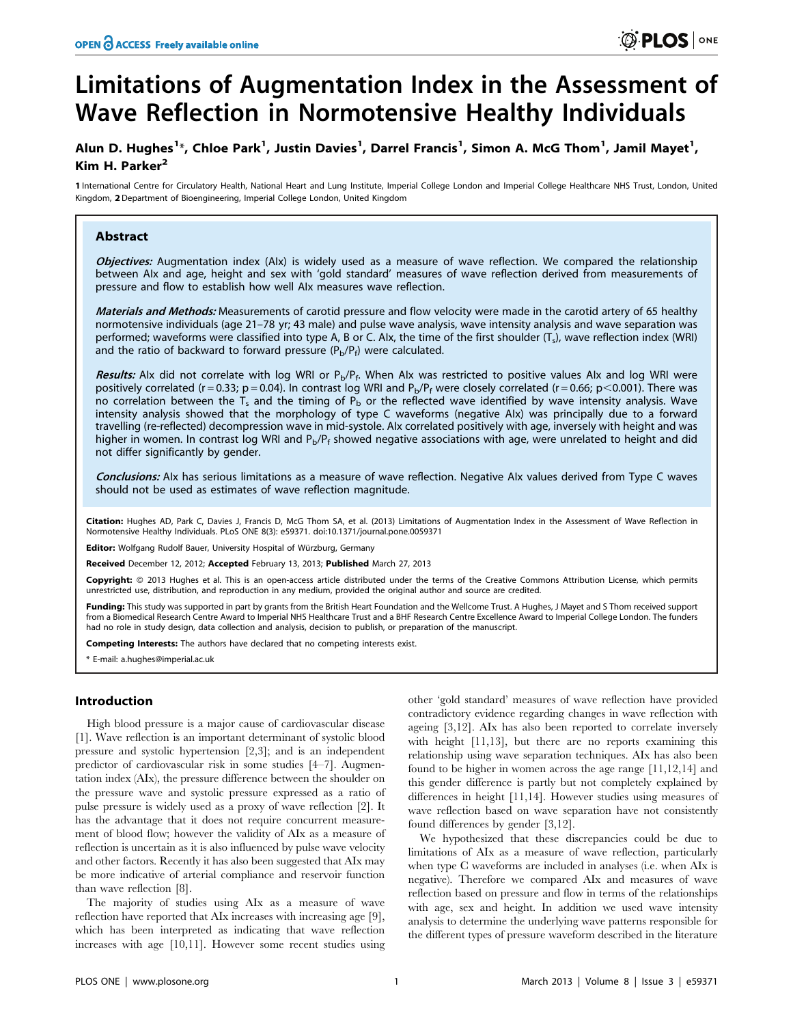# Limitations of Augmentation Index in the Assessment of Wave Reflection in Normotensive Healthy Individuals

# Alun D. Hughes<sup>1</sup>\*, Chloe Park<sup>1</sup>, Justin Davies<sup>1</sup>, Darrel Francis<sup>1</sup>, Simon A. McG Thom<sup>1</sup>, Jamil Mayet<sup>1</sup>, Kim H. Parker<sup>2</sup>

1 International Centre for Circulatory Health, National Heart and Lung Institute, Imperial College London and Imperial College Healthcare NHS Trust, London, United Kingdom, 2 Department of Bioengineering, Imperial College London, United Kingdom

#### Abstract

Objectives: Augmentation index (AIx) is widely used as a measure of wave reflection. We compared the relationship between AIx and age, height and sex with 'gold standard' measures of wave reflection derived from measurements of pressure and flow to establish how well AIx measures wave reflection.

Materials and Methods: Measurements of carotid pressure and flow velocity were made in the carotid artery of 65 healthy normotensive individuals (age 21–78 yr; 43 male) and pulse wave analysis, wave intensity analysis and wave separation was performed; waveforms were classified into type A, B or C. Alx, the time of the first shoulder (T<sub>s</sub>), wave reflection index (WRI) and the ratio of backward to forward pressure  $(P_b/P_f)$  were calculated.

Results: Alx did not correlate with log WRI or  $P_b/P_f$ . When Alx was restricted to positive values Alx and log WRI were positively correlated (r = 0.33; p = 0.04). In contrast log WRI and  $P_b/P_f$  were closely correlated (r = 0.66; p<0.001). There was no correlation between the T<sub>s</sub> and the timing of P<sub>b</sub> or the reflected wave identified by wave intensity analysis. Wave intensity analysis showed that the morphology of type C waveforms (negative AIx) was principally due to a forward travelling (re-reflected) decompression wave in mid-systole. AIx correlated positively with age, inversely with height and was higher in women. In contrast log WRI and  $P_p/P_f$  showed negative associations with age, were unrelated to height and did not differ significantly by gender.

Conclusions: AIx has serious limitations as a measure of wave reflection. Negative AIx values derived from Type C waves should not be used as estimates of wave reflection magnitude.

Citation: Hughes AD, Park C, Davies J, Francis D, McG Thom SA, et al. (2013) Limitations of Augmentation Index in the Assessment of Wave Reflection in Normotensive Healthy Individuals. PLoS ONE 8(3): e59371. doi:10.1371/journal.pone.0059371

**Editor:** Wolfgang Rudolf Bauer, University Hospital of Würzburg, Germany

Received December 12, 2012; Accepted February 13, 2013; Published March 27, 2013

Copyright: @ 2013 Hughes et al. This is an open-access article distributed under the terms of the Creative Commons Attribution License, which permits unrestricted use, distribution, and reproduction in any medium, provided the original author and source are credited.

Funding: This study was supported in part by grants from the British Heart Foundation and the Wellcome Trust. A Hughes, J Mayet and S Thom received support from a Biomedical Research Centre Award to Imperial NHS Healthcare Trust and a BHF Research Centre Excellence Award to Imperial College London. The funders had no role in study design, data collection and analysis, decision to publish, or preparation of the manuscript.

Competing Interests: The authors have declared that no competing interests exist.

\* E-mail: a.hughes@imperial.ac.uk

#### Introduction

High blood pressure is a major cause of cardiovascular disease [1]. Wave reflection is an important determinant of systolic blood pressure and systolic hypertension [2,3]; and is an independent predictor of cardiovascular risk in some studies [4–7]. Augmentation index (AIx), the pressure difference between the shoulder on the pressure wave and systolic pressure expressed as a ratio of pulse pressure is widely used as a proxy of wave reflection [2]. It has the advantage that it does not require concurrent measurement of blood flow; however the validity of AIx as a measure of reflection is uncertain as it is also influenced by pulse wave velocity and other factors. Recently it has also been suggested that AIx may be more indicative of arterial compliance and reservoir function than wave reflection [8].

The majority of studies using AIx as a measure of wave reflection have reported that AIx increases with increasing age [9], which has been interpreted as indicating that wave reflection increases with age [10,11]. However some recent studies using

other 'gold standard' measures of wave reflection have provided contradictory evidence regarding changes in wave reflection with ageing [3,12]. AIx has also been reported to correlate inversely with height [11,13], but there are no reports examining this relationship using wave separation techniques. AIx has also been found to be higher in women across the age range [11,12,14] and this gender difference is partly but not completely explained by differences in height [11,14]. However studies using measures of wave reflection based on wave separation have not consistently found differences by gender [3,12].

We hypothesized that these discrepancies could be due to limitations of AIx as a measure of wave reflection, particularly when type C waveforms are included in analyses (i.e. when AIx is negative). Therefore we compared AIx and measures of wave reflection based on pressure and flow in terms of the relationships with age, sex and height. In addition we used wave intensity analysis to determine the underlying wave patterns responsible for the different types of pressure waveform described in the literature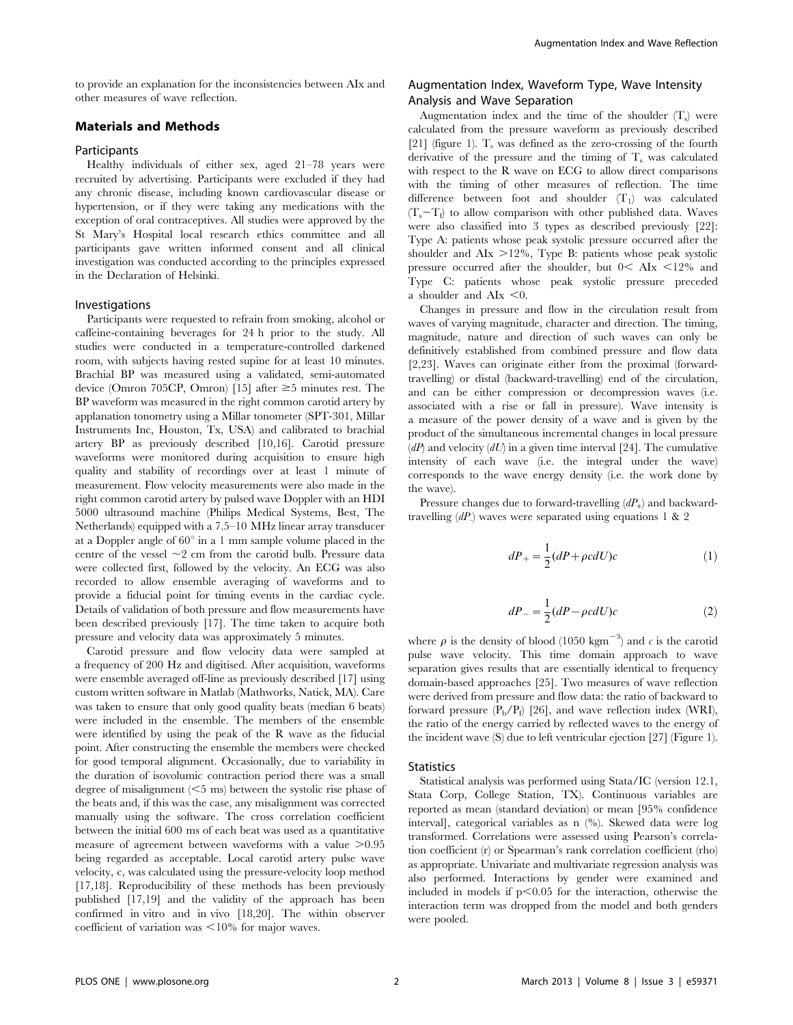to provide an explanation for the inconsistencies between AIx and other measures of wave reflection.

## Materials and Methods

#### Participants

Healthy individuals of either sex, aged 21–78 years were recruited by advertising. Participants were excluded if they had any chronic disease, including known cardiovascular disease or hypertension, or if they were taking any medications with the exception of oral contraceptives. All studies were approved by the St Mary's Hospital local research ethics committee and all participants gave written informed consent and all clinical investigation was conducted according to the principles expressed in the Declaration of Helsinki.

### Investigations

Participants were requested to refrain from smoking, alcohol or caffeine-containing beverages for 24 h prior to the study. All studies were conducted in a temperature-controlled darkened room, with subjects having rested supine for at least 10 minutes. Brachial BP was measured using a validated, semi-automated device (Omron 705CP, Omron) [15] after  $\geq$ 5 minutes rest. The BP waveform was measured in the right common carotid artery by applanation tonometry using a Millar tonometer (SPT-301, Millar Instruments Inc, Houston, Tx, USA) and calibrated to brachial artery BP as previously described [10,16]. Carotid pressure waveforms were monitored during acquisition to ensure high quality and stability of recordings over at least 1 minute of measurement. Flow velocity measurements were also made in the right common carotid artery by pulsed wave Doppler with an HDI 5000 ultrasound machine (Philips Medical Systems, Best, The Netherlands) equipped with a 7.5–10 MHz linear array transducer at a Doppler angle of  $60^{\circ}$  in a 1 mm sample volume placed in the centre of the vessel  $\sim$ 2 cm from the carotid bulb. Pressure data were collected first, followed by the velocity. An ECG was also recorded to allow ensemble averaging of waveforms and to provide a fiducial point for timing events in the cardiac cycle. Details of validation of both pressure and flow measurements have been described previously [17]. The time taken to acquire both pressure and velocity data was approximately 5 minutes.

Carotid pressure and flow velocity data were sampled at a frequency of 200 Hz and digitised. After acquisition, waveforms were ensemble averaged off-line as previously described [17] using custom written software in Matlab (Mathworks, Natick, MA). Care was taken to ensure that only good quality beats (median 6 beats) were included in the ensemble. The members of the ensemble were identified by using the peak of the R wave as the fiducial point. After constructing the ensemble the members were checked for good temporal alignment. Occasionally, due to variability in the duration of isovolumic contraction period there was a small degree of misalignment  $(<5$  ms) between the systolic rise phase of the beats and, if this was the case, any misalignment was corrected manually using the software. The cross correlation coefficient between the initial 600 ms of each beat was used as a quantitative measure of agreement between waveforms with a value  $>0.95$ being regarded as acceptable. Local carotid artery pulse wave velocity, c, was calculated using the pressure-velocity loop method [17,18]. Reproducibility of these methods has been previously published [17,19] and the validity of the approach has been confirmed in vitro and in vivo [18,20]. The within observer coefficient of variation was  $\leq 10\%$  for major waves.

## Augmentation Index, Waveform Type, Wave Intensity Analysis and Wave Separation

Augmentation index and the time of the shoulder  $(T<sub>s</sub>)$  were calculated from the pressure waveform as previously described [21] (figure 1).  $T_s$  was defined as the zero-crossing of the fourth derivative of the pressure and the timing of  $T_s$  was calculated with respect to the R wave on ECG to allow direct comparisons with the timing of other measures of reflection. The time difference between foot and shoulder  $(T_1)$  was calculated  $(T_s-T_f)$  to allow comparison with other published data. Waves were also classified into 3 types as described previously [22]: Type A: patients whose peak systolic pressure occurred after the shoulder and AIx  $>12\%$ , Type B: patients whose peak systolic pressure occurred after the shoulder, but  $0 < A Ix < 12\%$  and Type C: patients whose peak systolic pressure preceded a shoulder and  $AIx < 0$ .

Changes in pressure and flow in the circulation result from waves of varying magnitude, character and direction. The timing, magnitude, nature and direction of such waves can only be definitively established from combined pressure and flow data [2,23]. Waves can originate either from the proximal (forwardtravelling) or distal (backward-travelling) end of the circulation, and can be either compression or decompression waves (i.e. associated with a rise or fall in pressure). Wave intensity is a measure of the power density of a wave and is given by the product of the simultaneous incremental changes in local pressure  $(dP)$  and velocity  $(dU)$  in a given time interval [24]. The cumulative intensity of each wave (i.e. the integral under the wave) corresponds to the wave energy density (i.e. the work done by the wave).

Pressure changes due to forward-travelling  $(dP_+)$  and backwardtravelling  $(dP)$  waves were separated using equations 1 & 2

$$
dP_{+} = \frac{1}{2}(dP + \rho c dU)c
$$
 (1)

$$
dP_{-} = \frac{1}{2}(dP - \rho c dU)c
$$
 (2)

where  $\rho$  is the density of blood (1050 kgm<sup>-3</sup>) and  $\epsilon$  is the carotid pulse wave velocity. This time domain approach to wave separation gives results that are essentially identical to frequency domain-based approaches [25]. Two measures of wave reflection were derived from pressure and flow data: the ratio of backward to forward pressure  $(P_b/P_f)$  [26], and wave reflection index (WRI), the ratio of the energy carried by reflected waves to the energy of the incident wave (S) due to left ventricular ejection [27] (Figure 1).

#### **Statistics**

Statistical analysis was performed using Stata/IC (version 12.1, Stata Corp, College Station, TX). Continuous variables are reported as mean (standard deviation) or mean [95% confidence interval], categorical variables as n (%). Skewed data were log transformed. Correlations were assessed using Pearson's correlation coefficient (r) or Spearman's rank correlation coefficient (rho) as appropriate. Univariate and multivariate regression analysis was also performed. Interactions by gender were examined and included in models if  $p<0.05$  for the interaction, otherwise the interaction term was dropped from the model and both genders were pooled.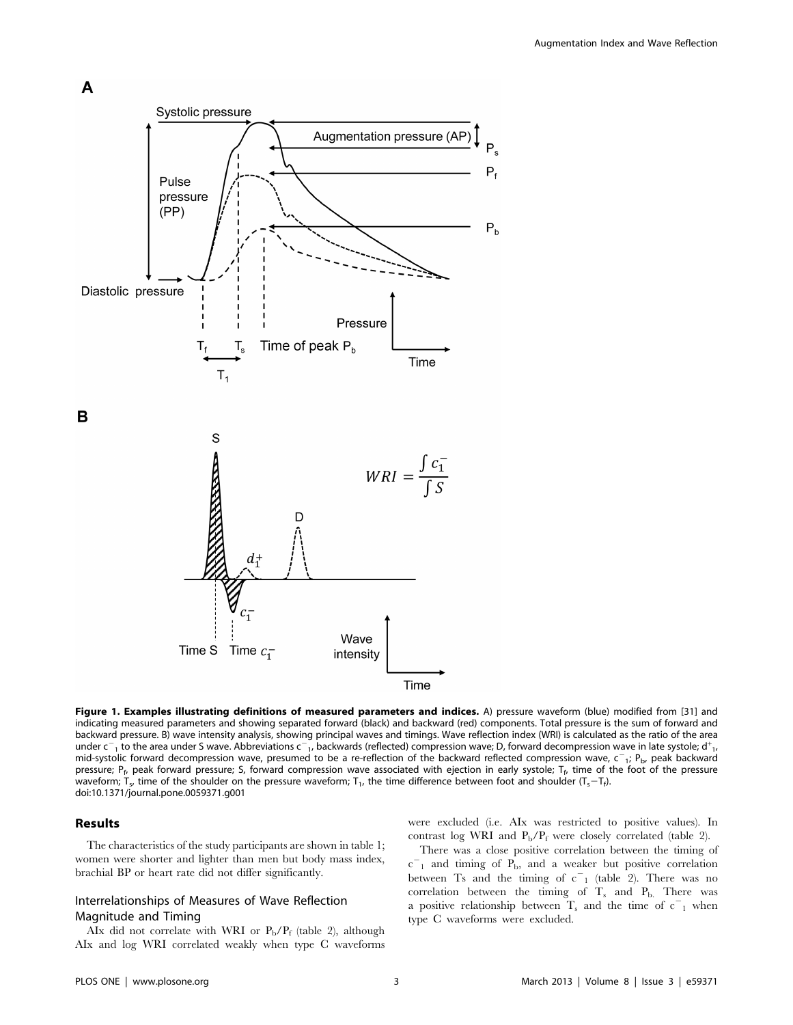

Time

Figure 1. Examples illustrating definitions of measured parameters and indices. A) pressure waveform (blue) modified from [31] and indicating measured parameters and showing separated forward (black) and backward (red) components. Total pressure is the sum of forward and backward pressure. B) wave intensity analysis, showing principal waves and timings. Wave reflection index (WRI) is calculated as the ratio of the area under  $c_{-1}$  to the area under S wave. Abbreviations  $c_{-1}$ , backwards (reflected) compression wave; D, forward decompression wave in late systole; d<sup>+</sup><sub>1</sub>, mid-systolic forward decompression wave, presumed to be a re-reflection of the backward reflected compression wave,  $c^-$ <sub>1</sub>; P<sub>b</sub>, peak backward pressure; P<sub>f</sub>, peak forward pressure; S, forward compression wave associated with ejection in early systole; T<sub>f</sub>, time of the foot of the pressure waveform; T<sub>s</sub>, time of the shoulder on the pressure waveform; T<sub>1</sub>, the time difference between foot and shoulder (T<sub>s</sub>-T<sub>f</sub>). doi:10.1371/journal.pone.0059371.g001

#### Results

A

The characteristics of the study participants are shown in table 1; women were shorter and lighter than men but body mass index, brachial BP or heart rate did not differ significantly.

#### Interrelationships of Measures of Wave Reflection Magnitude and Timing

AIx did not correlate with WRI or  $P_b/P_f$  (table 2), although AIx and log WRI correlated weakly when type C waveforms were excluded (i.e. AIx was restricted to positive values). In contrast log WRI and  $P_b/P_f$  were closely correlated (table 2).

There was a close positive correlation between the timing of  $c$ <sup>-</sup><sub>1</sub> and timing of  $P_b$ , and a weaker but positive correlation between Ts and the timing of  $c_{1}^{-}$  (table 2). There was no correlation between the timing of  $T_s$  and  $P_b$ . There was a positive relationship between  $T_s$  and the time of  $c^-$ <sub>1</sub> when type C waveforms were excluded.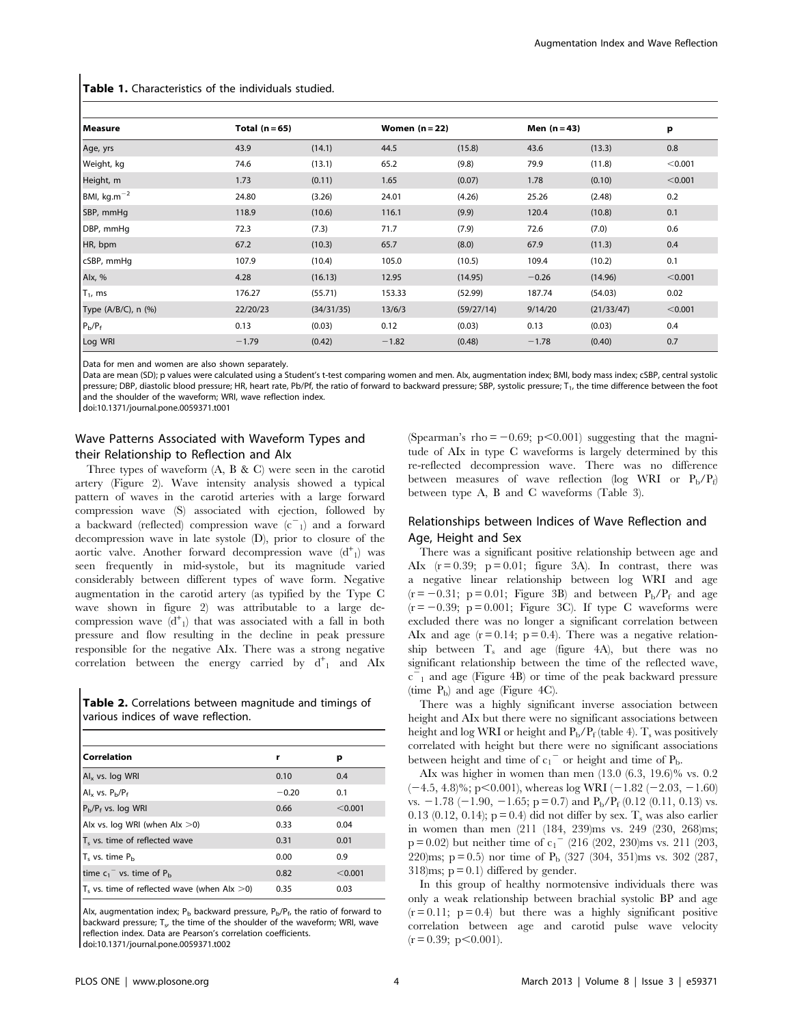| Measure             | Total $(n=65)$ |            | Women $(n=22)$ |            | Men $(n=43)$ |            | р       |
|---------------------|----------------|------------|----------------|------------|--------------|------------|---------|
| Age, yrs            | 43.9           | (14.1)     | 44.5           | (15.8)     | 43.6         | (13.3)     | 0.8     |
| Weight, kg          | 74.6           | (13.1)     | 65.2           | (9.8)      | 79.9         | (11.8)     | < 0.001 |
| Height, m           | 1.73           | (0.11)     | 1.65           | (0.07)     | 1.78         | (0.10)     | < 0.001 |
| BMI, $kg.m^{-2}$    | 24.80          | (3.26)     | 24.01          | (4.26)     | 25.26        | (2.48)     | 0.2     |
| SBP, mmHg           | 118.9          | (10.6)     | 116.1          | (9.9)      | 120.4        | (10.8)     | 0.1     |
| DBP, mmHq           | 72.3           | (7.3)      | 71.7           | (7.9)      | 72.6         | (7.0)      | 0.6     |
| HR, bpm             | 67.2           | (10.3)     | 65.7           | (8.0)      | 67.9         | (11.3)     | 0.4     |
| cSBP, mmHg          | 107.9          | (10.4)     | 105.0          | (10.5)     | 109.4        | (10.2)     | 0.1     |
| Alx, %              | 4.28           | (16.13)    | 12.95          | (14.95)    | $-0.26$      | (14.96)    | < 0.001 |
| $T_1$ , ms          | 176.27         | (55.71)    | 153.33         | (52.99)    | 187.74       | (54.03)    | 0.02    |
| Type (A/B/C), n (%) | 22/20/23       | (34/31/35) | 13/6/3         | (59/27/14) | 9/14/20      | (21/33/47) | < 0.001 |
| $P_b/P_f$           | 0.13           | (0.03)     | 0.12           | (0.03)     | 0.13         | (0.03)     | 0.4     |
| Log WRI             | $-1.79$        | (0.42)     | $-1.82$        | (0.48)     | $-1.78$      | (0.40)     | 0.7     |

Table 1. Characteristics of the individuals studied.

Data for men and women are also shown separately.

Data are mean (SD); p values were calculated using a Student's t-test comparing women and men. AIx, augmentation index; BMI, body mass index; cSBP, central systolic pressure; DBP, diastolic blood pressure; HR, heart rate, Pb/Pf, the ratio of forward to backward pressure; SBP, systolic pressure; T<sub>1</sub>, the time difference between the foot and the shoulder of the waveform; WRI, wave reflection index.

doi:10.1371/journal.pone.0059371.t001

### Wave Patterns Associated with Waveform Types and their Relationship to Reflection and AIx

Three types of waveform (A, B & C) were seen in the carotid artery (Figure 2). Wave intensity analysis showed a typical pattern of waves in the carotid arteries with a large forward compression wave (S) associated with ejection, followed by a backward (reflected) compression wave  $(c<sup>-1</sup>)$  and a forward decompression wave in late systole (D), prior to closure of the aortic valve. Another forward decompression wave  $(d<sup>+</sup><sub>1</sub>)$  was seen frequently in mid-systole, but its magnitude varied considerably between different types of wave form. Negative augmentation in the carotid artery (as typified by the Type C wave shown in figure 2) was attributable to a large decompression wave  $(d<sup>+</sup><sub>1</sub>)$  that was associated with a fall in both pressure and flow resulting in the decline in peak pressure responsible for the negative AIx. There was a strong negative correlation between the energy carried by  $d^+$ <sub>1</sub> and AIx

Table 2. Correlations between magnitude and timings of various indices of wave reflection.

| Correlation                                                           | r       | р       |
|-----------------------------------------------------------------------|---------|---------|
| $\mathsf{Al}_{x}$ vs. log WRI                                         | 0.10    | 0.4     |
| Al <sub>x</sub> vs. $P_h/P_f$                                         | $-0.20$ | 0.1     |
| $P_{b}/P_{f}$ vs. log WRI                                             | 0.66    | < 0.001 |
| Alx vs. log WRI (when $\text{Alx} > 0$ )                              | 0.33    | 0.04    |
| T <sub>s</sub> vs. time of reflected wave                             | 0.31    | 0.01    |
| $T_s$ vs. time $P_h$                                                  | 0.00    | 0.9     |
| time $c_1$ <sup>-</sup> vs. time of $P_h$                             | 0.82    | < 0.001 |
| $\mathsf{T}_{\mathsf{s}}$ vs. time of reflected wave (when Alx $>$ 0) | 0.35    | 0.03    |

Alx, augmentation index;  $P_b$  backward pressure,  $P_b/P_f$ , the ratio of forward to backward pressure;  $T_{s}$ , the time of the shoulder of the waveform; WRI, wave reflection index. Data are Pearson's correlation coefficients. doi:10.1371/journal.pone.0059371.t002

(Spearman's rho  $= -0.69$ ; p $< 0.001$ ) suggesting that the magnitude of AIx in type C waveforms is largely determined by this re-reflected decompression wave. There was no difference between measures of wave reflection (log WRI or  $P_b/P_f$ ) between type A, B and C waveforms (Table 3).

### Relationships between Indices of Wave Reflection and Age, Height and Sex

There was a significant positive relationship between age and AIx  $(r = 0.39; p = 0.01; figure 3A)$ . In contrast, there was a negative linear relationship between log WRI and age  $(r = -0.31; p = 0.01;$  Figure 3B) and between  $P_b/P_f$  and age  $(r = -0.39; p = 0.001;$  Figure 3C). If type C waveforms were excluded there was no longer a significant correlation between AIx and age  $(r = 0.14; p = 0.4)$ . There was a negative relationship between  $T_s$  and age (figure 4A), but there was no significant relationship between the time of the reflected wave,  $c = 1$  and age (Figure 4B) or time of the peak backward pressure (time  $P<sub>b</sub>$ ) and age (Figure 4C).

There was a highly significant inverse association between height and AIx but there were no significant associations between height and log WRI or height and  $P_b/P_f$  (table 4).  $T_s$  was positively correlated with height but there were no significant associations between height and time of  $c_1$ <sup>-</sup> or height and time of  $P_b$ .

AIx was higher in women than men (13.0 (6.3, 19.6)% vs. 0.2  $(-4.5, 4.8)$ %; p $\leq 0.001$ ), whereas log WRI (-1.82 (-2.03, -1.60) vs.  $-1.78$  ( $-1.90$ ,  $-1.65$ ; p = 0.7) and P<sub>b</sub>/P<sub>f</sub> (0.12 (0.11, 0.13) vs. 0.13 (0.12, 0.14);  $p = 0.4$  did not differ by sex. T, was also earlier in women than men (211 (184, 239)ms vs. 249 (230, 268)ms;  $p = 0.02$ ) but neither time of  $c_1$ <sup>-</sup> (216 (202, 230)ms vs. 211 (203, 220)ms;  $p = 0.5$  nor time of  $P_b$  (327 (304, 351)ms vs. 302 (287, 318)ms;  $p = 0.1$  differed by gender.

In this group of healthy normotensive individuals there was only a weak relationship between brachial systolic BP and age  $(r = 0.11; p = 0.4)$  but there was a highly significant positive correlation between age and carotid pulse wave velocity  $(r = 0.39; p < 0.001)$ .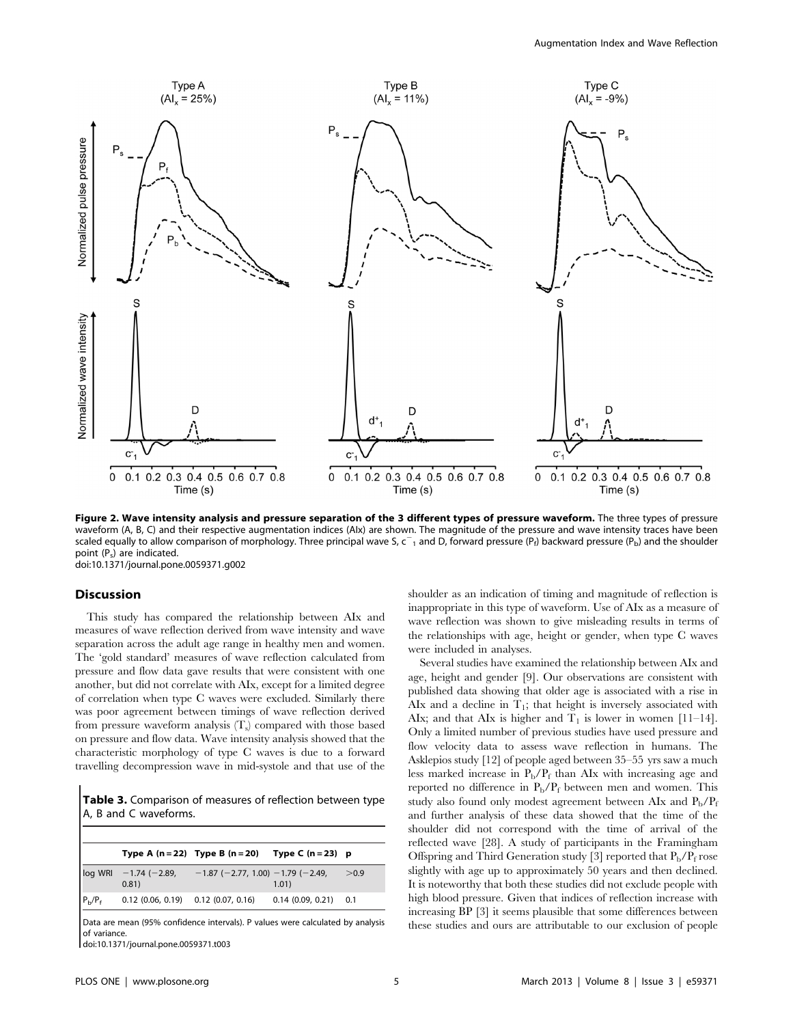

Figure 2. Wave intensity analysis and pressure separation of the 3 different types of pressure waveform. The three types of pressure waveform (A, B, C) and their respective augmentation indices (AIx) are shown. The magnitude of the pressure and wave intensity traces have been scaled equally to allow comparison of morphology. Three principal wave S, c<sup>-</sup>1 and D, forward pressure (P<sub>f</sub>) backward pressure (P<sub>b</sub>) and the shoulder point (P<sub>s</sub>) are indicated. doi:10.1371/journal.pone.0059371.g002

#### Discussion

This study has compared the relationship between AIx and measures of wave reflection derived from wave intensity and wave separation across the adult age range in healthy men and women. The 'gold standard' measures of wave reflection calculated from pressure and flow data gave results that were consistent with one another, but did not correlate with AIx, except for a limited degree of correlation when type C waves were excluded. Similarly there was poor agreement between timings of wave reflection derived from pressure waveform analysis  $(T_s)$  compared with those based on pressure and flow data. Wave intensity analysis showed that the characteristic morphology of type C waves is due to a forward travelling decompression wave in mid-systole and that use of the

Table 3. Comparison of measures of reflection between type A, B and C waveforms.

|           |                                         | Type A $(n=22)$ Type B $(n=20)$ Type C $(n=23)$ p |                        |       |
|-----------|-----------------------------------------|---------------------------------------------------|------------------------|-------|
|           | $log$ WRI $-1.74$ (-2.89,<br>0.81)      | $-1.87$ (-2.77, 1.00) -1.79 (-2.49,               | 1.01)                  | > 0.9 |
| $P_b/P_f$ | $0.12$ (0.06, 0.19) $0.12$ (0.07, 0.16) |                                                   | $0.14(0.09, 0.21)$ 0.1 |       |

Data are mean (95% confidence intervals). P values were calculated by analysis of variance.

doi:10.1371/journal.pone.0059371.t003

shoulder as an indication of timing and magnitude of reflection is inappropriate in this type of waveform. Use of AIx as a measure of wave reflection was shown to give misleading results in terms of the relationships with age, height or gender, when type C waves were included in analyses.

Several studies have examined the relationship between AIx and age, height and gender [9]. Our observations are consistent with published data showing that older age is associated with a rise in AIx and a decline in  $T_1$ ; that height is inversely associated with AIx; and that AIx is higher and  $T_1$  is lower in women [11–14]. Only a limited number of previous studies have used pressure and flow velocity data to assess wave reflection in humans. The Asklepios study [12] of people aged between 35–55 yrs saw a much less marked increase in  $P_b/P_f$  than AIx with increasing age and reported no difference in  $P_b/P_f$  between men and women. This study also found only modest agreement between AIx and  $P_b/P_f$ and further analysis of these data showed that the time of the shoulder did not correspond with the time of arrival of the reflected wave [28]. A study of participants in the Framingham Offspring and Third Generation study [3] reported that  $P_b/P_f$  rose slightly with age up to approximately 50 years and then declined. It is noteworthy that both these studies did not exclude people with high blood pressure. Given that indices of reflection increase with increasing BP [3] it seems plausible that some differences between these studies and ours are attributable to our exclusion of people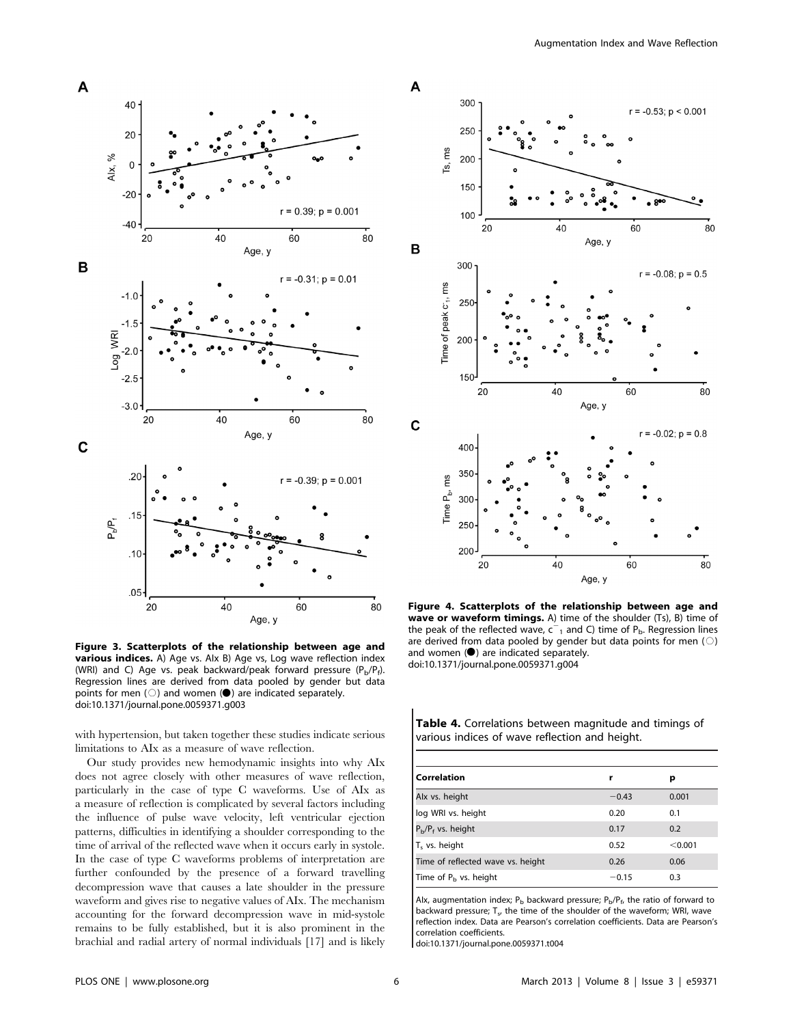

Figure 3. Scatterplots of the relationship between age and **various indices.** A) Age vs. Alx B) Age vs, Log wave reflection index (WRI) and C) Age vs. peak backward/peak forward pressure  $(P_b/P_f)$ . Regression lines are derived from data pooled by gender but data points for men  $( \bigcirc )$  and women ( $\bigcirc )$  are indicated separately. doi:10.1371/journal.pone.0059371.g003

with hypertension, but taken together these studies indicate serious limitations to AIx as a measure of wave reflection.

Our study provides new hemodynamic insights into why AIx does not agree closely with other measures of wave reflection, particularly in the case of type C waveforms. Use of AIx as a measure of reflection is complicated by several factors including the influence of pulse wave velocity, left ventricular ejection patterns, difficulties in identifying a shoulder corresponding to the time of arrival of the reflected wave when it occurs early in systole. In the case of type C waveforms problems of interpretation are further confounded by the presence of a forward travelling decompression wave that causes a late shoulder in the pressure waveform and gives rise to negative values of AIx. The mechanism accounting for the forward decompression wave in mid-systole remains to be fully established, but it is also prominent in the brachial and radial artery of normal individuals [17] and is likely



Figure 4. Scatterplots of the relationship between age and wave or waveform timings. A) time of the shoulder (Ts), B) time of the peak of the reflected wave,  $c^{-1}$  and C) time of P<sub>b</sub>. Regression lines are derived from data pooled by gender but data points for men  $( \bigcirc )$ and women  $(①)$  are indicated separately. doi:10.1371/journal.pone.0059371.g004

Table 4. Correlations between magnitude and timings of various indices of wave reflection and height.

| Correlation                       | r       | р       |
|-----------------------------------|---------|---------|
| Alx vs. height                    | $-0.43$ | 0.001   |
| log WRI vs. height                | 0.20    | 0.1     |
| $P_{b}/P_{f}$ vs. height          | 0.17    | 0.2     |
| T <sub>s</sub> vs. height         | 0.52    | < 0.001 |
| Time of reflected wave vs. height | 0.26    | 0.06    |
| Time of $P_h$ vs. height          | $-0.15$ | 0.3     |

Alx, augmentation index;  $P_b$  backward pressure;  $P_b/P_f$ , the ratio of forward to backward pressure;  $T_{s}$ , the time of the shoulder of the waveform; WRI, wave reflection index. Data are Pearson's correlation coefficients. Data are Pearson's correlation coefficients.

doi:10.1371/journal.pone.0059371.t004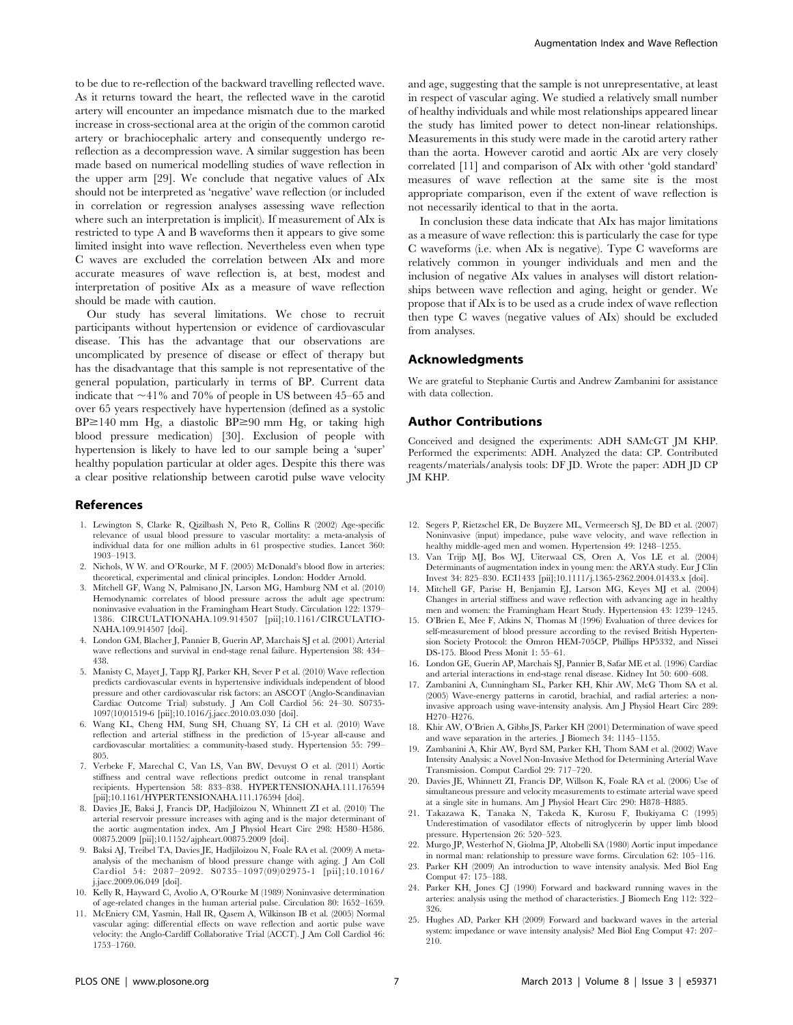to be due to re-reflection of the backward travelling reflected wave. As it returns toward the heart, the reflected wave in the carotid artery will encounter an impedance mismatch due to the marked increase in cross-sectional area at the origin of the common carotid artery or brachiocephalic artery and consequently undergo rereflection as a decompression wave. A similar suggestion has been made based on numerical modelling studies of wave reflection in the upper arm [29]. We conclude that negative values of AIx should not be interpreted as 'negative' wave reflection (or included in correlation or regression analyses assessing wave reflection where such an interpretation is implicit). If measurement of AIx is restricted to type A and B waveforms then it appears to give some limited insight into wave reflection. Nevertheless even when type C waves are excluded the correlation between AIx and more accurate measures of wave reflection is, at best, modest and interpretation of positive AIx as a measure of wave reflection should be made with caution.

Our study has several limitations. We chose to recruit participants without hypertension or evidence of cardiovascular disease. This has the advantage that our observations are uncomplicated by presence of disease or effect of therapy but has the disadvantage that this sample is not representative of the general population, particularly in terms of BP. Current data indicate that  $\sim$ 41% and 70% of people in US between 45–65 and over 65 years respectively have hypertension (defined as a systolic  $BP \ge 140$  mm Hg, a diastolic  $BP \ge 90$  mm Hg, or taking high blood pressure medication) [30]. Exclusion of people with hypertension is likely to have led to our sample being a 'super' healthy population particular at older ages. Despite this there was a clear positive relationship between carotid pulse wave velocity

#### References

- 1. Lewington S, Clarke R, Qizilbash N, Peto R, Collins R (2002) Age-specific relevance of usual blood pressure to vascular mortality: a meta-analysis of individual data for one million adults in 61 prospective studies. Lancet 360: 1903–1913.
- 2. Nichols, W W. and O'Rourke, M F. (2005) McDonald's blood flow in arteries: theoretical, experimental and clinical principles. London: Hodder Arnold.
- 3. Mitchell GF, Wang N, Palmisano JN, Larson MG, Hamburg NM et al. (2010) Hemodynamic correlates of blood pressure across the adult age spectrum: noninvasive evaluation in the Framingham Heart Study. Circulation 122: 1379– 1386. CIRCULATIONAHA.109.914507 [pii];10.1161/CIRCULATIO-NAHA.109.914507 [doi].
- 4. London GM, Blacher J, Pannier B, Guerin AP, Marchais SJ et al. (2001) Arterial wave reflections and survival in end-stage renal failure. Hypertension 38: 434– 438.
- 5. Manisty C, Mayet J, Tapp RJ, Parker KH, Sever P et al. (2010) Wave reflection predicts cardiovascular events in hypertensive individuals independent of blood pressure and other cardiovascular risk factors: an ASCOT (Anglo-Scandinavian Cardiac Outcome Trial) substudy. J Am Coll Cardiol 56: 24–30. S0735- 1097(10)01519-6 [pii];10.1016/j.jacc.2010.03.030 [doi].
- 6. Wang KL, Cheng HM, Sung SH, Chuang SY, Li CH et al. (2010) Wave reflection and arterial stiffness in the prediction of 15-year all-cause and cardiovascular mortalities: a community-based study. Hypertension 55: 799– 805.
- 7. Verbeke F, Marechal C, Van LS, Van BW, Devuyst O et al. (2011) Aortic stiffness and central wave reflections predict outcome in renal transplant recipients. Hypertension 58: 833–838. HYPERTENSIONAHA.111.176594 [pii];10.1161/HYPERTENSIONAHA.111.176594 [doi].
- 8. Davies JE, Baksi J, Francis DP, Hadjiloizou N, Whinnett ZI et al. (2010) The arterial reservoir pressure increases with aging and is the major determinant of the aortic augmentation index. Am J Physiol Heart Circ 298: H580–H586. 00875.2009 [pii];10.1152/ajpheart.00875.2009 [doi].
- 9. Baksi AJ, Treibel TA, Davies JE, Hadjiloizou N, Foale RA et al. (2009) A metaanalysis of the mechanism of blood pressure change with aging. J Am Coll Cardiol 54: 2087–2092. S0735–1097(09)02975-1 [pii];10.1016/ j.jacc.2009.06.049 [doi].
- 10. Kelly R, Hayward C, Avolio A, O'Rourke M (1989) Noninvasive determination of age-related changes in the human arterial pulse. Circulation 80: 1652–1659.
- 11. McEniery CM, Yasmin, Hall IR, Qasem A, Wilkinson IB et al. (2005) Normal vascular aging: differential effects on wave reflection and aortic pulse wave velocity: the Anglo-Cardiff Collaborative Trial (ACCT). J Am Coll Cardiol 46: 1753–1760.

and age, suggesting that the sample is not unrepresentative, at least in respect of vascular aging. We studied a relatively small number of healthy individuals and while most relationships appeared linear the study has limited power to detect non-linear relationships. Measurements in this study were made in the carotid artery rather than the aorta. However carotid and aortic AIx are very closely correlated [11] and comparison of AIx with other 'gold standard' measures of wave reflection at the same site is the most appropriate comparison, even if the extent of wave reflection is not necessarily identical to that in the aorta.

In conclusion these data indicate that AIx has major limitations as a measure of wave reflection: this is particularly the case for type C waveforms (i.e. when AIx is negative). Type C waveforms are relatively common in younger individuals and men and the inclusion of negative AIx values in analyses will distort relationships between wave reflection and aging, height or gender. We propose that if AIx is to be used as a crude index of wave reflection then type C waves (negative values of AIx) should be excluded from analyses.

#### Acknowledgments

We are grateful to Stephanie Curtis and Andrew Zambanini for assistance with data collection.

#### Author Contributions

Conceived and designed the experiments: ADH SAMcGT JM KHP. Performed the experiments: ADH. Analyzed the data: CP. Contributed reagents/materials/analysis tools: DF JD. Wrote the paper: ADH JD CP JM KHP.

- 12. Segers P, Rietzschel ER, De Buyzere ML, Vermeersch SJ, De BD et al. (2007) Noninvasive (input) impedance, pulse wave velocity, and wave reflection in healthy middle-aged men and women. Hypertension 49: 1248–1255.
- 13. Van Trijp MJ, Bos WJ, Uiterwaal CS, Oren A, Vos LE et al. (2004) Determinants of augmentation index in young men: the ARYA study. Eur J Clin Invest 34: 825–830. ECI1433 [pii];10.1111/j.1365-2362.2004.01433.x [doi].
- 14. Mitchell GF, Parise H, Benjamin EJ, Larson MG, Keyes MJ et al. (2004) Changes in arterial stiffness and wave reflection with advancing age in healthy men and women: the Framingham Heart Study. Hypertension 43: 1239–1245.
- 15. O'Brien E, Mee F, Atkins N, Thomas M (1996) Evaluation of three devices for self-measurement of blood pressure according to the revised British Hypertension Society Protocol: the Omron HEM-705CP, Phillips HP5332, and Nissei DS-175. Blood Press Monit 1: 55–61.
- 16. London GE, Guerin AP, Marchais SJ, Pannier B, Safar ME et al. (1996) Cardiac and arterial interactions in end-stage renal disease. Kidney Int 50: 600–608.
- 17. Zambanini A, Cunningham SL, Parker KH, Khir AW, McG Thom SA et al. (2005) Wave-energy patterns in carotid, brachial, and radial arteries: a noninvasive approach using wave-intensity analysis. Am J Physiol Heart Circ 289: H270–H276.
- 18. Khir AW, O'Brien A, Gibbs JS, Parker KH (2001) Determination of wave speed and wave separation in the arteries. J Biomech 34: 1145–1155.
- 19. Zambanini A, Khir AW, Byrd SM, Parker KH, Thom SAM et al. (2002) Wave Intensity Analysis: a Novel Non-Invasive Method for Determining Arterial Wave Transmission. Comput Cardiol 29: 717–720.
- 20. Davies JE, Whinnett ZI, Francis DP, Willson K, Foale RA et al. (2006) Use of simultaneous pressure and velocity measurements to estimate arterial wave speed at a single site in humans. Am J Physiol Heart Circ 290: H878–H885.
- 21. Takazawa K, Tanaka N, Takeda K, Kurosu F, Ibukiyama C (1995) Underestimation of vasodilator effects of nitroglycerin by upper limb blood pressure. Hypertension 26: 520–523.
- 22. Murgo JP, Westerhof N, Giolma JP, Altobelli SA (1980) Aortic input impedance in normal man: relationship to pressure wave forms. Circulation 62: 105–116.
- 23. Parker KH (2009) An introduction to wave intensity analysis. Med Biol Eng Comput 47: 175–188.
- 24. Parker KH, Jones CJ (1990) Forward and backward running waves in the arteries: analysis using the method of characteristics. J Biomech Eng 112: 322– 326.
- 25. Hughes AD, Parker KH (2009) Forward and backward waves in the arterial system: impedance or wave intensity analysis? Med Biol Eng Comput 47: 207– 210.